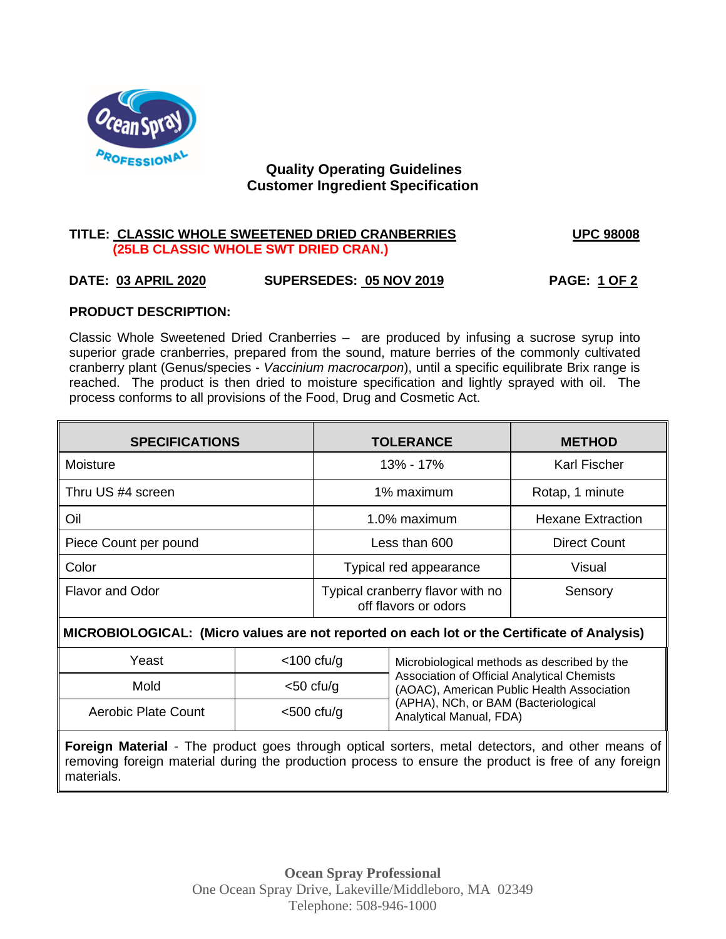

# **Quality Operating Guidelines Customer Ingredient Specification**

### **TITLE: CLASSIC WHOLE SWEETENED DRIED CRANBERRIES UPC 98008 (25LB CLASSIC WHOLE SWT DRIED CRAN.)**

# **DATE: 03 APRIL 2020 SUPERSEDES: 05 NOV 2019 PAGE: 1 OF 2**

### **PRODUCT DESCRIPTION:**

Classic Whole Sweetened Dried Cranberries – are produced by infusing a sucrose syrup into superior grade cranberries, prepared from the sound, mature berries of the commonly cultivated cranberry plant (Genus/species - *Vaccinium macrocarpon*), until a specific equilibrate Brix range is reached. The product is then dried to moisture specification and lightly sprayed with oil. The process conforms to all provisions of the Food, Drug and Cosmetic Act.

| <b>SPECIFICATIONS</b> | <b>TOLERANCE</b>                                         | <b>METHOD</b>       |
|-----------------------|----------------------------------------------------------|---------------------|
| Moisture              | 13% - 17%                                                | <b>Karl Fischer</b> |
| Thru US #4 screen     | 1% maximum<br>Rotap, 1 minute                            |                     |
| Oil                   | 1.0% maximum<br><b>Hexane Extraction</b>                 |                     |
| Piece Count per pound | <b>Direct Count</b><br>Less than 600                     |                     |
| Color                 | Typical red appearance<br>Visual                         |                     |
| Flavor and Odor       | Typical cranberry flavor with no<br>off flavors or odors | Sensory             |

# M **MICROBIOLOGICAL: (Micro values are not reported on each lot or the Certificate of Analysis)**

| Yeast                                       | $<$ 100 cfu/g | Microbiological methods as described by the                                               |  |
|---------------------------------------------|---------------|-------------------------------------------------------------------------------------------|--|
| Mold                                        | $<$ 50 cfu/g  | Association of Official Analytical Chemists<br>(AOAC), American Public Health Association |  |
| <b>Aerobic Plate Count</b><br>$<$ 500 cfu/g |               | (APHA), NCh, or BAM (Bacteriological<br>Analytical Manual, FDA)                           |  |

**Foreign Material** - The product goes through optical sorters, metal detectors, and other means of removing foreign material during the production process to ensure the product is free of any foreign materials.